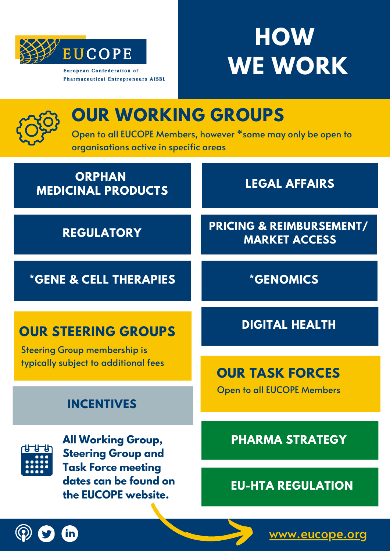

**Pharmaceutical Entrepreneurs AISBL** 

# **HOW WE WORK**

| <b>OUR WORKING GROUPS</b><br>Open to all EUCOPE Members, however *some may only be open to<br>organisations active in specific areas |                                                             |
|--------------------------------------------------------------------------------------------------------------------------------------|-------------------------------------------------------------|
| <b>ORPHAN</b><br><b>MEDICINAL PRODUCTS</b>                                                                                           | <b>LEGAL AFFAIRS</b>                                        |
| <b>REGULATORY</b>                                                                                                                    | <b>PRICING &amp; REIMBURSEMENT/</b><br><b>MARKET ACCESS</b> |
| <b>*GENE &amp; CELL THERAPIES</b>                                                                                                    | <i><b>*GENOMICS</b></i>                                     |
| <b>OUR STEERING GROUPS</b><br><b>Steering Group membership is</b><br>typically subject to additional fees                            | <b>DIGITAL HEALTH</b>                                       |
|                                                                                                                                      | <b>OUR TASK FORCES</b>                                      |
| <b>INCENTIVES</b>                                                                                                                    | <b>Open to all EUCOPE Members</b>                           |
| <b>All Working Group,</b><br><b>Steering Group and</b><br><b>Task Force meeting</b><br>dates can be found on                         | <b>PHARMA STRATEGY</b>                                      |
|                                                                                                                                      | <b>FILLHTA REGIII ATION</b>                                 |

**EU-HTA REGULATION**



**the EUCOPE website.**

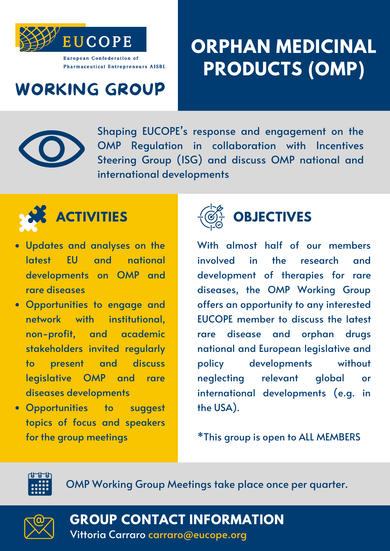

## **ORPHAN MEDICINAL PRODUCTS (OMP)**

#### WORKING GROUP



Shaping EUCOPE' s response and engagement on the OMP Regulation in collaboration with Incentives Steering Group (ISG) and discuss OMP national and international developments



- Updates and analyses on the latest EU and national developments on OMP and rare diseases
- Opportunities to engage and network with institutional, non-profit, and academic stakeholders invited regularly to present and discuss legislative OMP and rare diseases developments
- Opportunities to suggest topics of focus and speakers for the group meetings



#### **OBJECTIVES**

With almost half of our members involved in the research and development of therapies for rare diseases, the OMP Working Group offers an opportunity to any interested EUCOPE member to discuss the latest rare disease and orphan drugs national and European legislative and policy developments without neglecting relevant global or international developments (e.g. in the USA).

\*This group is open to ALL MEMBERS



OMP Working Group Meetings take place once per quarter.



Vittoria Carraro carraro@eucope.org **GROUP CONTACT INFORMATION**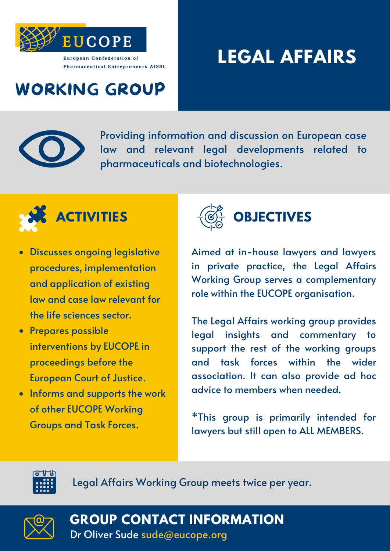

## **LEGAL AFFAIRS**

#### WORKING GROUP



Providing information and discussion on European case law and relevant legal developments related to pharmaceuticals and biotechnologies.



- Discusses ongoing legislative procedures, implementation and application of existing law and case law relevant for the life sciences sector.
- Prepares possible interventions by EUCOPE in proceedings before the European Court of Justice.
- Informs and supports the work of other EUCOPE Working Groups and Task Forces.



Aimed at in-house lawyers and lawyers in private practice, the Legal Affairs Working Group serves a complementary role within the EUCOPE organisation.

The Legal Affairs working group provides legal insights and commentary to support the rest of the working groups and task forces within the wider association. It can also provide ad hoc advice to members when needed.

\*This group is primarily intended for lawyers but still open to ALL MEMBERS.



Legal Affairs Working Group meets twice per year.



**GROUP CONTACT INFORMATION**

Dr Oliver Sude sude@eucope.org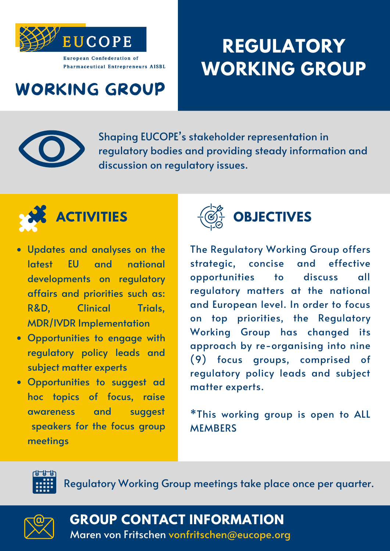

## **REGULATORY WORKING GROUP**

#### WORKING GROUP



Shaping EUCOPE' s stakeholder representation in regulatory bodies and providing steady information and discussion on regulatory issues.



- Updates and analyses on the latest EU and national developments on regulatory affairs and priorities such as: R&D, Clinical Trials, MDR/IVDR Implementation
- Opportunities to engage with regulatory policy leads and subject matter experts
- Opportunities to suggest ad hoc topics of focus, raise awareness and suggest speakers for the focus group meetings



The Regulatory Working Group offers strategic, concise and effective opportunities to discuss all regulatory matters at the national and European level. In order to focus on top priorities, the Regulatory Working Group has changed its approach by re-organising into nine (9) focus groups, comprised of regulatory policy leads and subject matter experts.

\*This working group is open to ALL **MEMBERS** 



Regulatory Working Group meetings take place once per quarter.



**GROUP CONTACT INFORMATION**

Maren von Fritschen vonfritschen@eucope.org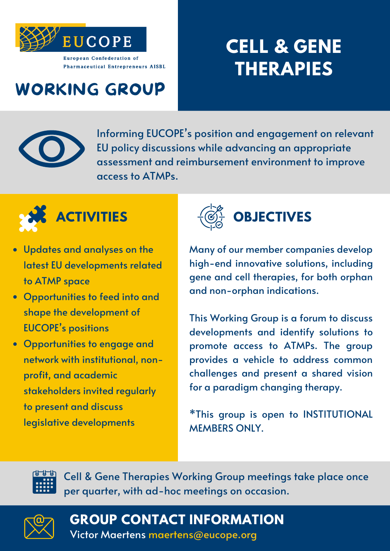

## **CELL & GENE THERAPIES**

#### WORKING GROUP



Informing EUCOPE' s position and engagement on relevant EU policy discussions while advancing an appropriate assessment and reimbursement environment to improve access to ATMPs.



- Updates and analyses on the latest EU developments related to ATMP space
- Opportunities to feed into and shape the development of EUCOPE' s positions
- Opportunities to engage and network with institutional, nonprofit, and academic stakeholders invited regularly to present and discuss legislative developments



Many of our member companies develop high-end innovative solutions, including gene and cell therapies, for both orphan and non-orphan indications.

This Working Group is a forum to discuss developments and identify solutions to promote access to ATMPs. The group provides a vehicle to address common challenges and present a shared vision for a paradigm changing therapy.

\*This group is open to INSTITUTIONAL MEMBERS ONLY.



Cell & Gene Therapies Working Group meetings take place once per quarter, with ad-hoc meetings on occasion.



**GROUP CONTACT INFORMATION**

Victor Maertens maertens@eucope.org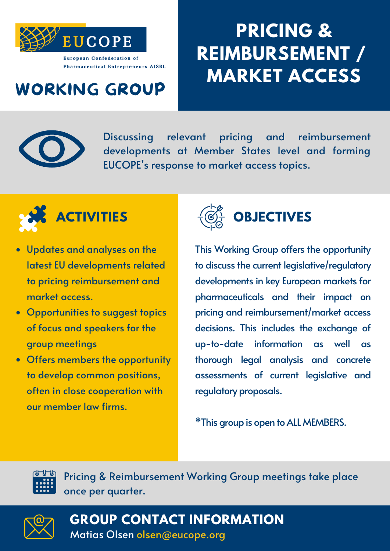

### WORKING GROUP

## **PRICING & REIMBURSEMENT / MARKET ACCESS**

Discussing relevant pricing and reimbursement developments at Member States level and forming EUCOPE' s response to market access topics.



- Updates and analyses on the latest EU developments related to pricing reimbursement and market access.
- Opportunities to suggest topics of focus and speakers for the group meetings
- Offers members the opportunity to develop common positions, often in close cooperation with our member law firms.



This Working Group offers the opportunity to discuss the current legislative/regulatory developments in key European markets for pharmaceuticals and their impact on pricing and reimbursement/market access decisions. This includes the exchange of up-to-date information as well as thorough legal analysis and concrete assessments of current legislative and regulatory proposals.

\*This group is open toALL MEMBERS.



Pricing & Reimbursement Working Group meetings take place once per quarter.



Matias Olsen olsen@eucope.org **GROUP CONTACT INFORMATION**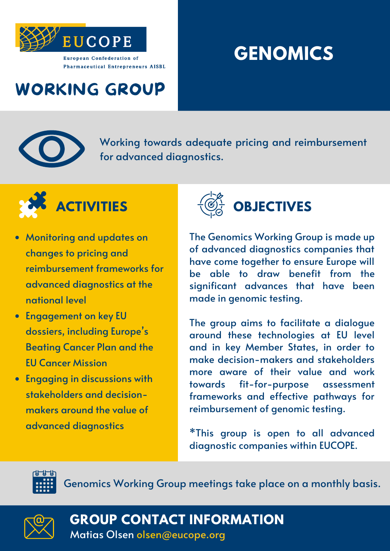

## **GENOMICS**

### WORKING GROUP



Working towards adequate pricing and reimbursement for advanced diagnostics.



- Monitoring and updates on changes to pricing and reimbursement frameworks for advanced diagnostics at the national level
- Engagement on key EU dossiers, including Europe ' s Beating Cancer Plan and the EU Cancer Mission
- Engaging in discussions with stakeholders and decisionmakers around the value of advanced diagnostics



The Genomics Working Group is made up of advanced diagnostics companies that have come together to ensure Europe will be able to draw benefit from the significant advances that have been made in genomic testing.

The group aims to facilitate a dialogue around these technologies at EU level and in key Member States, in order to make decision-makers and stakeholders more aware of their value and work towards fit-for-purpose assessment frameworks and effective pathways for reimbursement of genomic testing.

\*This group is open to all advanced diagnostic companies within EUCOPE.



Genomics Working Group meetings take place on a monthly basis.



**GROUP CONTACT INFORMATION**

Matias Olsen olsen@eucope.org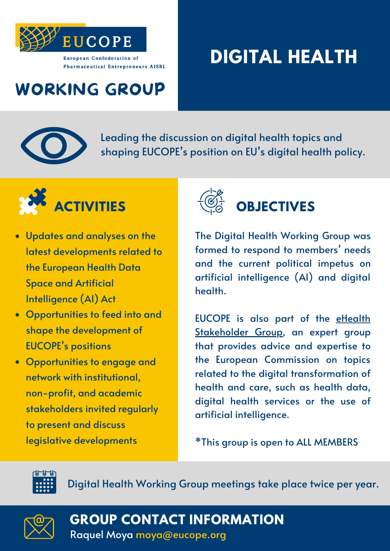

## **DIGITAL HEALTH**

### WORKING GROUP



Leading the discussion on digital health topics and shaping EUCOPE' s position on EU' s digital health policy.



- Updates and analyses on the latest developments related to the European Health Data Space and Artificial Intelligence (AI) Act
- Opportunities to feed into and shape the development of EUCOPE' s positions
- Opportunities to engage and network with institutional, non-profit, and academic stakeholders invited regularly to present and discuss legislative developments



The Digital Health Working Group was formed to respond to members ' needs and the current political impetus on artificial intelligence (AI) and digital health.

EUCOPE is also part of the eHealth [Stakeholder](https://digital-strategy.ec.europa.eu/en/policies/ehealth-experts) Group, an expert group that provides advice and expertise to the European Commission on topics related to the digital transformation of health and care, such as health data, digital health services or the use of artificial intelligence.

\*This group is open to ALL MEMBERS



Digital Health Working Group meetings take place twice per year.



**GROUP CONTACT INFORMATION**

Raquel Moya moya@eucope.org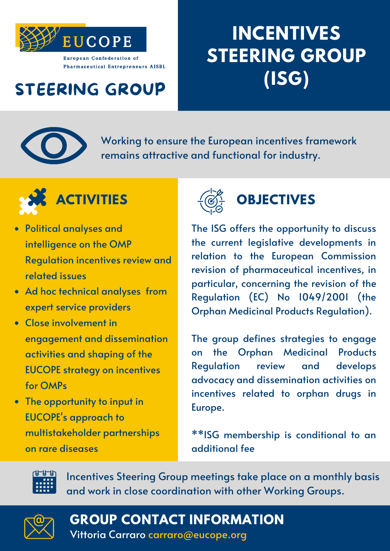

## **INCENTIVES STEERING GROUP (ISG)**

### STEERING GROUP



Working to ensure the European incentives framework remains attractive and functional for industry.



- Political analyses and intelligence on the OMP Regulation incentives review and related issues
- Ad hoc technical analyses from expert service providers
- Close involvement in engagement and dissemination activities and shaping of the EUCOPE strategy on incentives for OMPs
- The opportunity to input in EUCOPE' s approach to multistakeholder partnerships on rare diseases



The ISG offers the opportunity to discuss the current legislative developments in relation to the European Commission revision of pharmaceutical incentives, in particular, concerning the revision of the Regulation (EC) No 1049/2001 (the Orphan Medicinal Products Regulation).

The group defines strategies to engage on the Orphan Medicinal Products Regulation review and develops advocacy and dissemination activities on incentives related to orphan drugs in Europe.

\*\*ISG membership is conditional to an additional fee



Incentives Steering Group meetings take place on a monthly basis and work in close coordination with other Working Groups.



**GROUP CONTACT INFORMATION**

Vittoria Carraro carraro@eucope.org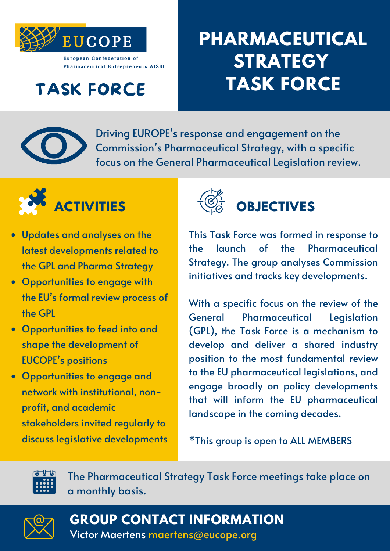

### TASK FORCE

## **PHARMACEUTICAL STRATEGY TASK FORCE**



Driving EUROPE' s response and engagement on the Commission ' s Pharmaceutical Strategy, with a specific focus on the General Pharmaceutical Legislation review.



- Updates and analyses on the latest developments related to the GPL and Pharma Strategy
- Opportunities to engage with the EU' s formal review process of the GPL
- Opportunities to feed into and shape the development of EUCOPE' s positions
- Opportunities to engage and network with institutional, nonprofit, and academic stakeholders invited regularly to discuss legislative developments



This Task Force was formed in response to the launch of the Pharmaceutical Strategy. The group analyses Commission initiatives and tracks key developments.

With a specific focus on the review of the General Pharmaceutical Legislation (GPL), the Task Force is a mechanism to develop and deliver a shared industry position to the most fundamental review to the EU pharmaceutical legislations, and engage broadly on policy developments that will inform the EU pharmaceutical landscape in the coming decades.

\*This group is open to ALL MEMBERS



The Pharmaceutical Strategy Task Force meetings take place on a monthly basis.



**GROUP CONTACT INFORMATION**

Victor Maertens maertens@eucope.org